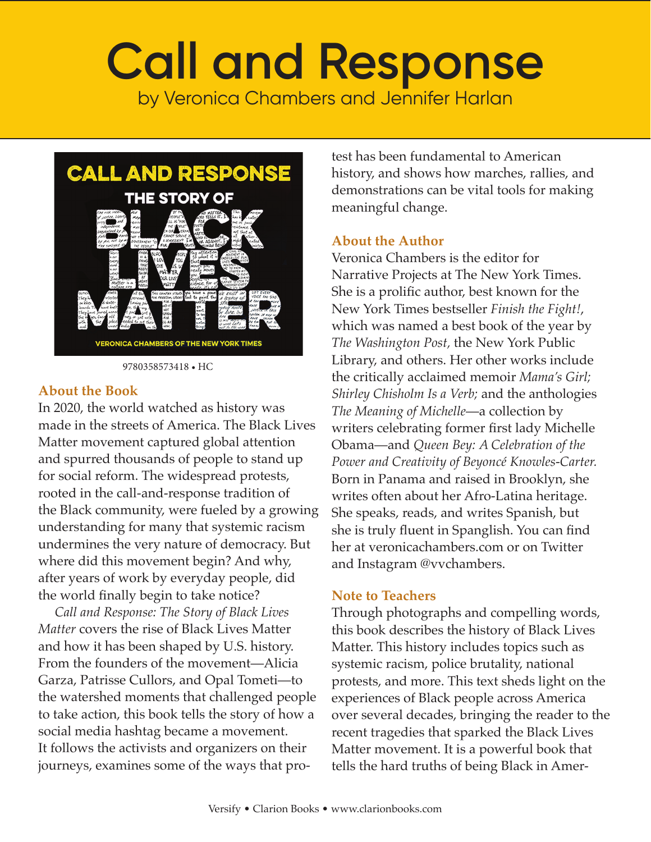

9780358573418 • HC

#### **About the Book**

In 2020, the world watched as history was made in the streets of America. The Black Lives Matter movement captured global attention and spurred thousands of people to stand up for social reform. The widespread protests, rooted in the call-and-response tradition of the Black community, were fueled by a growing understanding for many that systemic racism undermines the very nature of democracy. But where did this movement begin? And why, after years of work by everyday people, did the world finally begin to take notice?

 *Call and Response: The Story of Black Lives Matter* covers the rise of Black Lives Matter and how it has been shaped by U.S. history. From the founders of the movement—Alicia Garza, Patrisse Cullors, and Opal Tometi—to the watershed moments that challenged people to take action, this book tells the story of how a social media hashtag became a movement. It follows the activists and organizers on their journeys, examines some of the ways that protest has been fundamental to American history, and shows how marches, rallies, and demonstrations can be vital tools for making meaningful change.

#### **About the Author**

Veronica Chambers is the editor for Narrative Projects at The New York Times. She is a prolific author, best known for the New York Times bestseller *Finish the Fight!*, which was named a best book of the year by *The Washington Post,* the New York Public Library, and others. Her other works include the critically acclaimed memoir *Mama's Girl; Shirley Chisholm Is a Verb;* and the anthologies *The Meaning of Michelle*—a collection by writers celebrating former first lady Michelle Obama—and *Queen Bey: A Celebration of the Power and Creativity of Beyoncé Knowles-Carter.* Born in Panama and raised in Brooklyn, she writes often about her Afro-Latina heritage. She speaks, reads, and writes Spanish, but she is truly fluent in Spanglish. You can find her at veronicachambers.com or on Twitter and Instagram @vvchambers.

#### **Note to Teachers**

Through photographs and compelling words, this book describes the history of Black Lives Matter. This history includes topics such as systemic racism, police brutality, national protests, and more. This text sheds light on the experiences of Black people across America over several decades, bringing the reader to the recent tragedies that sparked the Black Lives Matter movement. It is a powerful book that tells the hard truths of being Black in Amer-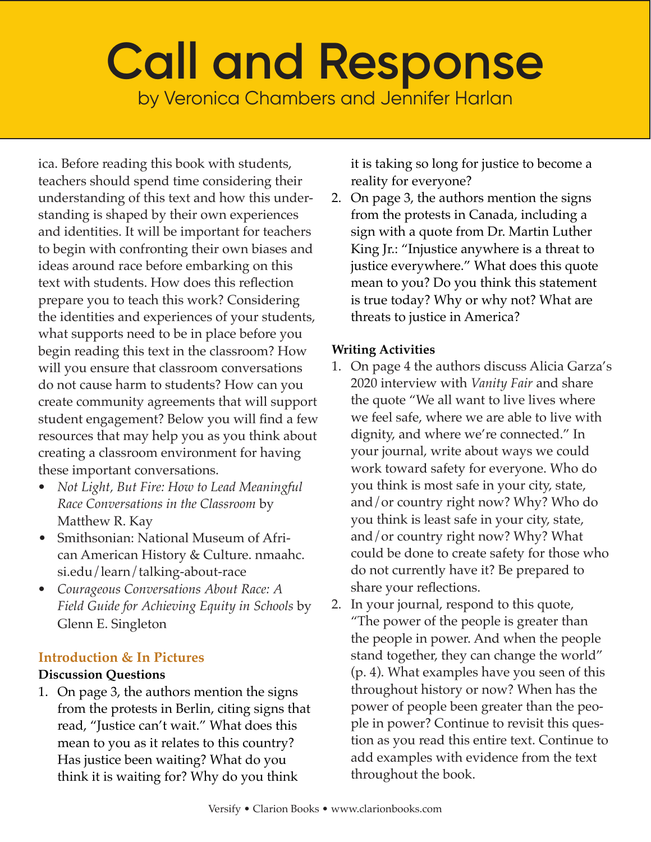ica. Before reading this book with students, teachers should spend time considering their understanding of this text and how this understanding is shaped by their own experiences and identities. It will be important for teachers to begin with confronting their own biases and ideas around race before embarking on this text with students. How does this reflection prepare you to teach this work? Considering the identities and experiences of your students, what supports need to be in place before you begin reading this text in the classroom? How will you ensure that classroom conversations do not cause harm to students? How can you create community agreements that will support student engagement? Below you will find a few resources that may help you as you think about creating a classroom environment for having these important conversations.

- *• Not Light, But Fire: How to Lead Meaningful Race Conversations in the Classroom* by Matthew R. Kay
- Smithsonian: National Museum of African American History & Culture. nmaahc. si.edu/learn/talking-about-race
- *• Courageous Conversations About Race: A Field Guide for Achieving Equity in Schools* by Glenn E. Singleton

## **Introduction & In Pictures**

#### **Discussion Questions**

1. On page 3, the authors mention the signs from the protests in Berlin, citing signs that read, "Justice can't wait." What does this mean to you as it relates to this country? Has justice been waiting? What do you think it is waiting for? Why do you think

it is taking so long for justice to become a reality for everyone?

2. On page 3, the authors mention the signs from the protests in Canada, including a sign with a quote from Dr. Martin Luther King Jr.: "Injustice anywhere is a threat to justice everywhere." What does this quote mean to you? Do you think this statement is true today? Why or why not? What are threats to justice in America?

#### **Writing Activities**

- 1. On page 4 the authors discuss Alicia Garza's 2020 interview with *Vanity Fair* and share the quote "We all want to live lives where we feel safe, where we are able to live with dignity, and where we're connected." In your journal, write about ways we could work toward safety for everyone. Who do you think is most safe in your city, state, and/or country right now? Why? Who do you think is least safe in your city, state, and/or country right now? Why? What could be done to create safety for those who do not currently have it? Be prepared to share your reflections.
- 2. In your journal, respond to this quote, "The power of the people is greater than the people in power. And when the people stand together, they can change the world" (p. 4). What examples have you seen of this throughout history or now? When has the power of people been greater than the people in power? Continue to revisit this question as you read this entire text. Continue to add examples with evidence from the text throughout the book.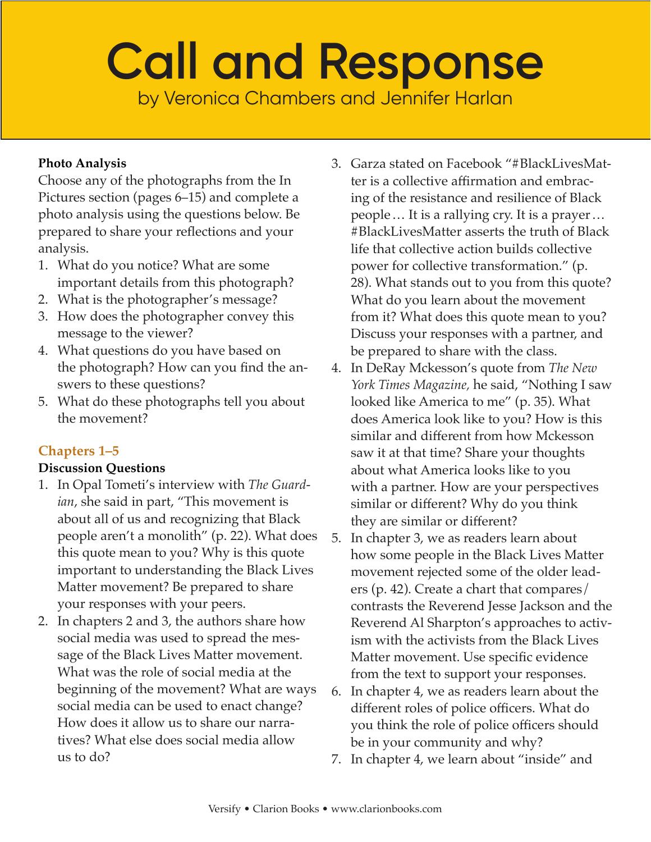**Photo Analysis** 

Choose any of the photographs from the In Pictures section (pages 6–15) and complete a photo analysis using the questions below. Be prepared to share your reflections and your analysis.

- 1. What do you notice? What are some important details from this photograph?
- 2. What is the photographer's message?
- 3. How does the photographer convey this message to the viewer?
- 4. What questions do you have based on the photograph? How can you find the answers to these questions?
- 5. What do these photographs tell you about the movement?

# **Chapters 1–5**

#### **Discussion Questions**

- 1. In Opal Tometi's interview with *The Guardian*, she said in part, "This movement is about all of us and recognizing that Black people aren't a monolith" (p. 22). What does this quote mean to you? Why is this quote important to understanding the Black Lives Matter movement? Be prepared to share your responses with your peers.
- 2. In chapters 2 and 3, the authors share how social media was used to spread the message of the Black Lives Matter movement. What was the role of social media at the beginning of the movement? What are ways social media can be used to enact change? How does it allow us to share our narratives? What else does social media allow us to do?
- 3. Garza stated on Facebook "#BlackLivesMatter is a collective affirmation and embracing of the resistance and resilience of Black people … It is a rallying cry. It is a prayer… #BlackLivesMatter asserts the truth of Black life that collective action builds collective power for collective transformation." (p. 28). What stands out to you from this quote? What do you learn about the movement from it? What does this quote mean to you? Discuss your responses with a partner, and be prepared to share with the class.
- 4. In DeRay Mckesson's quote from *The New York Times Magazine,* he said, "Nothing I saw looked like America to me" (p. 35). What does America look like to you? How is this similar and different from how Mckesson saw it at that time? Share your thoughts about what America looks like to you with a partner. How are your perspectives similar or different? Why do you think they are similar or different?
- 5. In chapter 3, we as readers learn about how some people in the Black Lives Matter movement rejected some of the older leaders (p. 42). Create a chart that compares/ contrasts the Reverend Jesse Jackson and the Reverend Al Sharpton's approaches to activism with the activists from the Black Lives Matter movement. Use specific evidence from the text to support your responses.
- 6. In chapter 4, we as readers learn about the different roles of police officers. What do you think the role of police officers should be in your community and why?
- 7. In chapter 4, we learn about "inside" and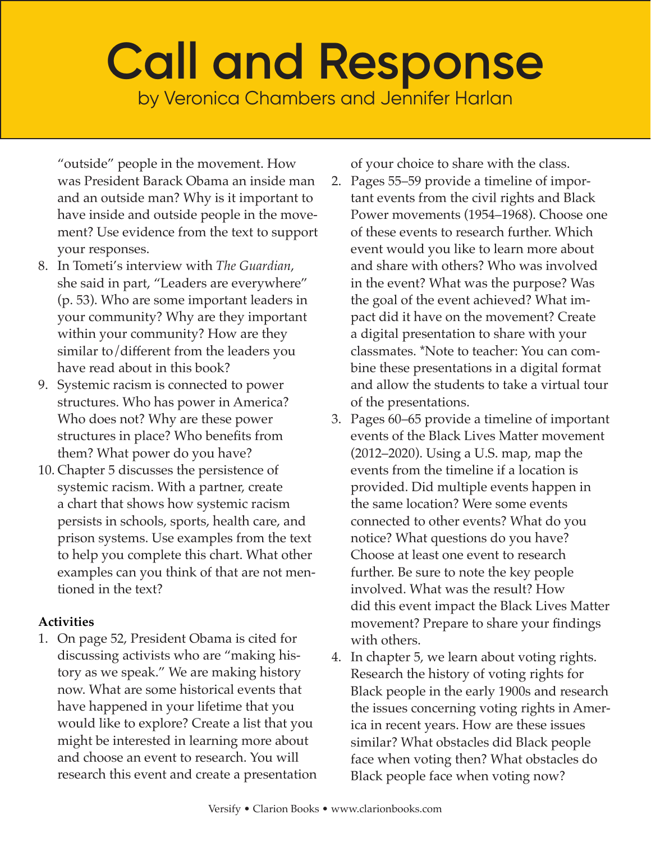"outside" people in the movement. How was President Barack Obama an inside man and an outside man? Why is it important to have inside and outside people in the movement? Use evidence from the text to support your responses.

- 8. In Tometi's interview with *The Guardian*, she said in part, "Leaders are everywhere" (p. 53). Who are some important leaders in your community? Why are they important within your community? How are they similar to/different from the leaders you have read about in this book?
- 9. Systemic racism is connected to power structures. Who has power in America? Who does not? Why are these power structures in place? Who benefits from them? What power do you have?
- 10. Chapter 5 discusses the persistence of systemic racism. With a partner, create a chart that shows how systemic racism persists in schools, sports, health care, and prison systems. Use examples from the text to help you complete this chart. What other examples can you think of that are not mentioned in the text?

## **Activities**

1. On page 52, President Obama is cited for discussing activists who are "making history as we speak." We are making history now. What are some historical events that have happened in your lifetime that you would like to explore? Create a list that you might be interested in learning more about and choose an event to research. You will research this event and create a presentation of your choice to share with the class.

- 2. Pages 55–59 provide a timeline of important events from the civil rights and Black Power movements (1954–1968). Choose one of these events to research further. Which event would you like to learn more about and share with others? Who was involved in the event? What was the purpose? Was the goal of the event achieved? What impact did it have on the movement? Create a digital presentation to share with your classmates. \*Note to teacher: You can combine these presentations in a digital format and allow the students to take a virtual tour of the presentations.
- 3. Pages 60–65 provide a timeline of important events of the Black Lives Matter movement (2012–2020). Using a U.S. map, map the events from the timeline if a location is provided. Did multiple events happen in the same location? Were some events connected to other events? What do you notice? What questions do you have? Choose at least one event to research further. Be sure to note the key people involved. What was the result? How did this event impact the Black Lives Matter movement? Prepare to share your findings with others.
- 4. In chapter 5, we learn about voting rights. Research the history of voting rights for Black people in the early 1900s and research the issues concerning voting rights in America in recent years. How are these issues similar? What obstacles did Black people face when voting then? What obstacles do Black people face when voting now?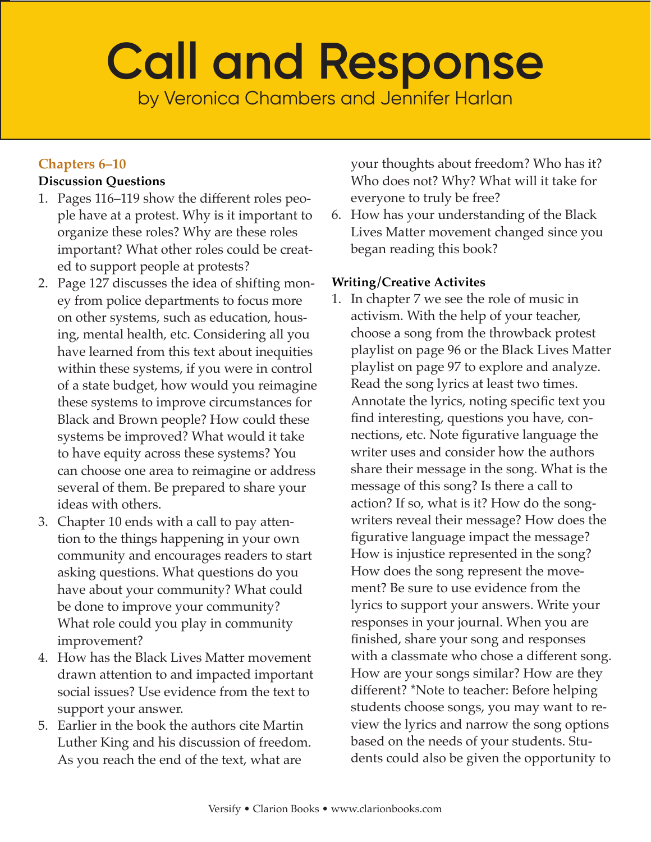# **Call and Response**

by Veronica Chambers and Jennifer Harlan

## **Chapters 6–10**

### **Discussion Questions**

- 1. Pages 116–119 show the different roles people have at a protest. Why is it important to organize these roles? Why are these roles important? What other roles could be created to support people at protests?
- 2. Page 127 discusses the idea of shifting money from police departments to focus more on other systems, such as education, housing, mental health, etc. Considering all you have learned from this text about inequities within these systems, if you were in control of a state budget, how would you reimagine these systems to improve circumstances for Black and Brown people? How could these systems be improved? What would it take to have equity across these systems? You can choose one area to reimagine or address several of them. Be prepared to share your ideas with others.
- 3. Chapter 10 ends with a call to pay attention to the things happening in your own community and encourages readers to start asking questions. What questions do you have about your community? What could be done to improve your community? What role could you play in community improvement?
- 4. How has the Black Lives Matter movement drawn attention to and impacted important social issues? Use evidence from the text to support your answer.
- 5. Earlier in the book the authors cite Martin Luther King and his discussion of freedom. As you reach the end of the text, what are

your thoughts about freedom? Who has it? Who does not? Why? What will it take for everyone to truly be free?

6. How has your understanding of the Black Lives Matter movement changed since you began reading this book?

#### **Writing/Creative Activites**

1. In chapter 7 we see the role of music in activism. With the help of your teacher, choose a song from the throwback protest playlist on page 96 or the Black Lives Matter playlist on page 97 to explore and analyze. Read the song lyrics at least two times. Annotate the lyrics, noting specific text you find interesting, questions you have, connections, etc. Note figurative language the writer uses and consider how the authors share their message in the song. What is the message of this song? Is there a call to action? If so, what is it? How do the songwriters reveal their message? How does the figurative language impact the message? How is injustice represented in the song? How does the song represent the movement? Be sure to use evidence from the lyrics to support your answers. Write your responses in your journal. When you are finished, share your song and responses with a classmate who chose a different song. How are your songs similar? How are they different? \*Note to teacher: Before helping students choose songs, you may want to review the lyrics and narrow the song options based on the needs of your students. Students could also be given the opportunity to